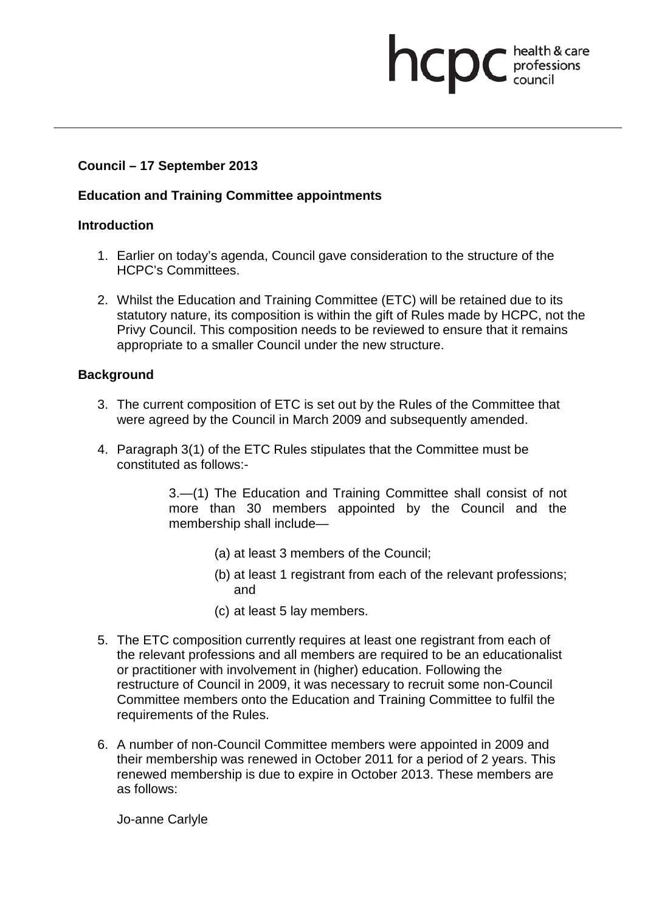# **Council – 17 September 2013**

## **Education and Training Committee appointments**

## **Introduction**

- 1. Earlier on today's agenda, Council gave consideration to the structure of the HCPC's Committees.
- 2. Whilst the Education and Training Committee (ETC) will be retained due to its statutory nature, its composition is within the gift of Rules made by HCPC, not the Privy Council. This composition needs to be reviewed to ensure that it remains appropriate to a smaller Council under the new structure.

health & care

professions<br>council

hcpc

## **Background**

- 3. The current composition of ETC is set out by the Rules of the Committee that were agreed by the Council in March 2009 and subsequently amended.
- 4. Paragraph 3(1) of the ETC Rules stipulates that the Committee must be constituted as follows:-

3.—(1) The Education and Training Committee shall consist of not more than 30 members appointed by the Council and the membership shall include—

- (a) at least 3 members of the Council;
- (b) at least 1 registrant from each of the relevant professions; and
- (c) at least 5 lay members.
- 5. The ETC composition currently requires at least one registrant from each of the relevant professions and all members are required to be an educationalist or practitioner with involvement in (higher) education. Following the restructure of Council in 2009, it was necessary to recruit some non-Council Committee members onto the Education and Training Committee to fulfil the requirements of the Rules.
- 6. A number of non-Council Committee members were appointed in 2009 and their membership was renewed in October 2011 for a period of 2 years. This renewed membership is due to expire in October 2013. These members are as follows:

Jo-anne Carlyle